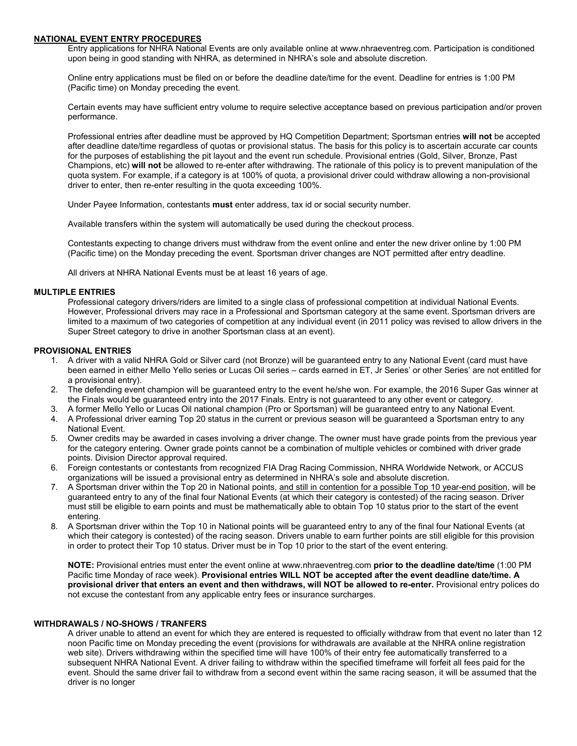## **NATIONAL EVENT ENTRY PROCEDURES**

Entry applications for NHRA National Events are only available online at www.nhraeventreg.com. Participation is conditioned upon being in good standing with NHRA, as determined in NHRA's sole and absolute discretion.

Online entry applications must be filed on or before the deadline date/time for the event. Deadline for entries is 1:00 PM (Pacific time) on Monday preceding the event.

Certain events may have sufficient entry volume to require selective acceptance based on previous participation and/or proven performance.

Professional entries after deadline must be approved by HQ Competition Department; Sportsman entries **will not** be accepted after deadline date/time regardless of quotas or provisional status. The basis for this policy is to ascertain accurate car counts for the purposes of establishing the pit layout and the event run schedule. Provisional entries (Gold, Silver, Bronze, Past Champions, etc) **will not** be allowed to re-enter after withdrawing. The rationale of this policy is to prevent manipulation of the quota system. For example, if a category is at 100% of quota, a provisional driver could withdraw allowing a non-provisional driver to enter, then re-enter resulting in the quota exceeding 100%.

Under Payee Information, contestants **must** enter address, tax id or social security number.

Available transfers within the system will automatically be used during the checkout process.

Contestants expecting to change drivers must withdraw from the event online and enter the new driver online by 1:00 PM (Pacific time) on the Monday preceding the event. Sportsman driver changes are NOT permitted after entry deadline.

All drivers at NHRA National Events must be at least 16 years of age.

## **MULTIPLE ENTRIES**

Professional category drivers/riders are limited to a single class of professional competition at individual National Events. However, Professional drivers may race in a Professional and Sportsman category at the same event. Sportsman drivers are limited to a maximum of two categories of competition at any individual event (in 2011 policy was revised to allow drivers in the Super Street category to drive in another Sportsman class at an event).

## **PROVISIONAL ENTRIES**

- 1. A driver with a valid NHRA Gold or Silver card (not Bronze) will be guaranteed entry to any National Event (card must have been earned in either Mello Yello series or Lucas Oil series – cards earned in ET, Jr Series' or other Series' are not entitled for a provisional entry).
- 2. The defending event champion will be guaranteed entry to the event he/she won. For example, the 2016 Super Gas winner at the Finals would be guaranteed entry into the 2017 Finals. Entry is not guaranteed to any other event or category.
- 3. A former Mello Yello or Lucas Oil national champion (Pro or Sportsman) will be guaranteed entry to any National Event.
- 4. A Professional driver earning Top 20 status in the current or previous season will be guaranteed a Sportsman entry to any National Event.
- 5. Owner credits may be awarded in cases involving a driver change. The owner must have grade points from the previous year for the category entering. Owner grade points cannot be a combination of multiple vehicles or combined with driver grade points. Division Director approval required.
- 6. Foreign contestants or contestants from recognized FIA Drag Racing Commission, NHRA Worldwide Network, or ACCUS organizations will be issued a provisional entry as determined in NHRA's sole and absolute discretion.
- 7. A Sportsman driver within the Top 20 in National points, and still in contention for a possible Top 10 year-end position, will be guaranteed entry to any of the final four National Events (at which their category is contested) of the racing season. Driver must still be eligible to earn points and must be mathematically able to obtain Top 10 status prior to the start of the event entering.
- 8. A Sportsman driver within the Top 10 in National points will be guaranteed entry to any of the final four National Events (at which their category is contested) of the racing season. Drivers unable to earn further points are still eligible for this provision in order to protect their Top 10 status. Driver must be in Top 10 prior to the start of the event entering.

**NOTE:** Provisional entries must enter the event online at www.nhraeventreg.com **prior to the deadline date/time** (1:00 PM Pacific time Monday of race week). **Provisional entries WILL NOT be accepted after the event deadline date/time. A provisional driver that enters an event and then withdraws, will NOT be allowed to re-enter.** Provisional entry polices do not excuse the contestant from any applicable entry fees or insurance surcharges.

### **WITHDRAWALS / NO-SHOWS / TRANFERS**

A driver unable to attend an event for which they are entered is requested to officially withdraw from that event no later than 12 noon Pacific time on Monday preceding the event (provisions for withdrawals are available at the NHRA online registration web site). Drivers withdrawing within the specified time will have 100% of their entry fee automatically transferred to a subsequent NHRA National Event. A driver failing to withdraw within the specified timeframe will forfeit all fees paid for the event. Should the same driver fail to withdraw from a second event within the same racing season, it will be assumed that the driver is no longer